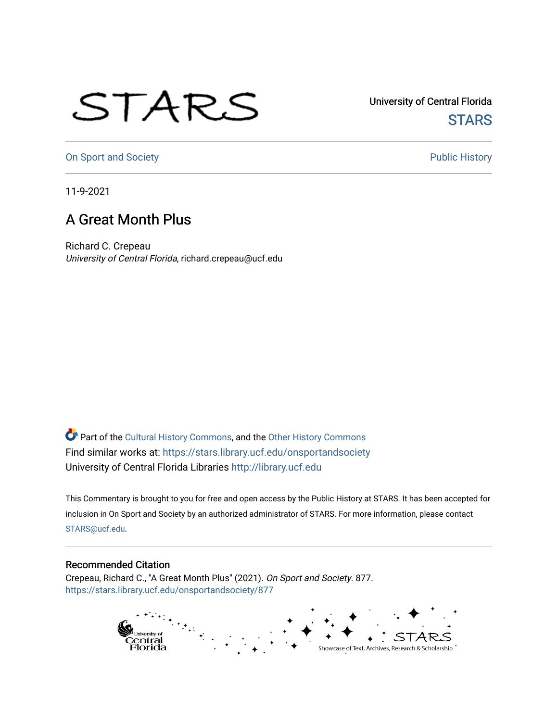## STARS

University of Central Florida **STARS** 

[On Sport and Society](https://stars.library.ucf.edu/onsportandsociety) **Public History** Public History

11-9-2021

## A Great Month Plus

Richard C. Crepeau University of Central Florida, richard.crepeau@ucf.edu

Part of the [Cultural History Commons](http://network.bepress.com/hgg/discipline/496?utm_source=stars.library.ucf.edu%2Fonsportandsociety%2F877&utm_medium=PDF&utm_campaign=PDFCoverPages), and the [Other History Commons](http://network.bepress.com/hgg/discipline/508?utm_source=stars.library.ucf.edu%2Fonsportandsociety%2F877&utm_medium=PDF&utm_campaign=PDFCoverPages)  Find similar works at: <https://stars.library.ucf.edu/onsportandsociety> University of Central Florida Libraries [http://library.ucf.edu](http://library.ucf.edu/) 

This Commentary is brought to you for free and open access by the Public History at STARS. It has been accepted for inclusion in On Sport and Society by an authorized administrator of STARS. For more information, please contact [STARS@ucf.edu](mailto:STARS@ucf.edu).

## Recommended Citation

Crepeau, Richard C., "A Great Month Plus" (2021). On Sport and Society. 877. [https://stars.library.ucf.edu/onsportandsociety/877](https://stars.library.ucf.edu/onsportandsociety/877?utm_source=stars.library.ucf.edu%2Fonsportandsociety%2F877&utm_medium=PDF&utm_campaign=PDFCoverPages)

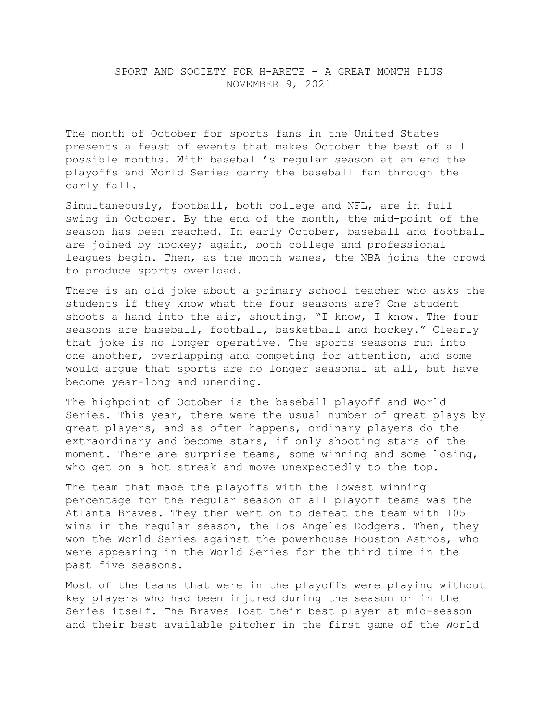The month of October for sports fans in the United States presents a feast of events that makes October the best of all possible months. With baseball's regular season at an end the playoffs and World Series carry the baseball fan through the early fall.

Simultaneously, football, both college and NFL, are in full swing in October. By the end of the month, the mid-point of the season has been reached. In early October, baseball and football are joined by hockey; again, both college and professional leagues begin. Then, as the month wanes, the NBA joins the crowd to produce sports overload.

There is an old joke about a primary school teacher who asks the students if they know what the four seasons are? One student shoots a hand into the air, shouting, "I know, I know. The four seasons are baseball, football, basketball and hockey." Clearly that joke is no longer operative. The sports seasons run into one another, overlapping and competing for attention, and some would argue that sports are no longer seasonal at all, but have become year-long and unending.

The highpoint of October is the baseball playoff and World Series. This year, there were the usual number of great plays by great players, and as often happens, ordinary players do the extraordinary and become stars, if only shooting stars of the moment. There are surprise teams, some winning and some losing, who get on a hot streak and move unexpectedly to the top.

The team that made the playoffs with the lowest winning percentage for the regular season of all playoff teams was the Atlanta Braves. They then went on to defeat the team with 105 wins in the regular season, the Los Angeles Dodgers. Then, they won the World Series against the powerhouse Houston Astros, who were appearing in the World Series for the third time in the past five seasons.

Most of the teams that were in the playoffs were playing without key players who had been injured during the season or in the Series itself. The Braves lost their best player at mid-season and their best available pitcher in the first game of the World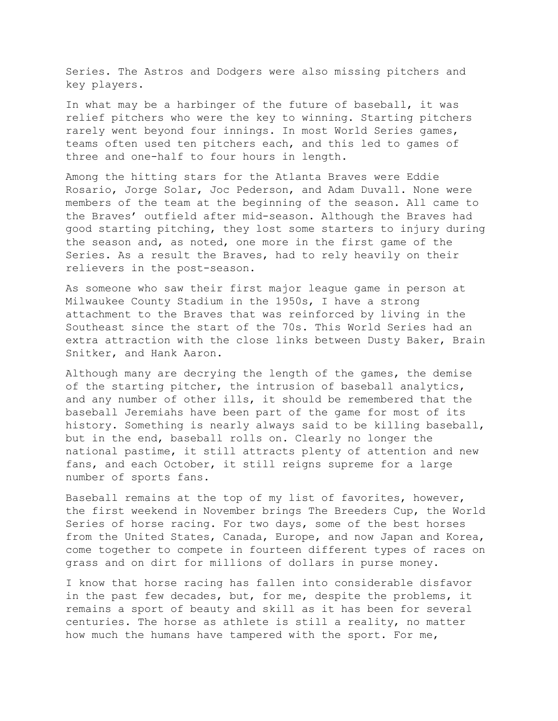Series. The Astros and Dodgers were also missing pitchers and key players.

In what may be a harbinger of the future of baseball, it was relief pitchers who were the key to winning. Starting pitchers rarely went beyond four innings. In most World Series games, teams often used ten pitchers each, and this led to games of three and one-half to four hours in length.

Among the hitting stars for the Atlanta Braves were Eddie Rosario, Jorge Solar, Joc Pederson, and Adam Duvall. None were members of the team at the beginning of the season. All came to the Braves' outfield after mid-season. Although the Braves had good starting pitching, they lost some starters to injury during the season and, as noted, one more in the first game of the Series. As a result the Braves, had to rely heavily on their relievers in the post-season.

As someone who saw their first major league game in person at Milwaukee County Stadium in the 1950s, I have a strong attachment to the Braves that was reinforced by living in the Southeast since the start of the 70s. This World Series had an extra attraction with the close links between Dusty Baker, Brain Snitker, and Hank Aaron.

Although many are decrying the length of the games, the demise of the starting pitcher, the intrusion of baseball analytics, and any number of other ills, it should be remembered that the baseball Jeremiahs have been part of the game for most of its history. Something is nearly always said to be killing baseball, but in the end, baseball rolls on. Clearly no longer the national pastime, it still attracts plenty of attention and new fans, and each October, it still reigns supreme for a large number of sports fans.

Baseball remains at the top of my list of favorites, however, the first weekend in November brings The Breeders Cup, the World Series of horse racing. For two days, some of the best horses from the United States, Canada, Europe, and now Japan and Korea, come together to compete in fourteen different types of races on grass and on dirt for millions of dollars in purse money.

I know that horse racing has fallen into considerable disfavor in the past few decades, but, for me, despite the problems, it remains a sport of beauty and skill as it has been for several centuries. The horse as athlete is still a reality, no matter how much the humans have tampered with the sport. For me,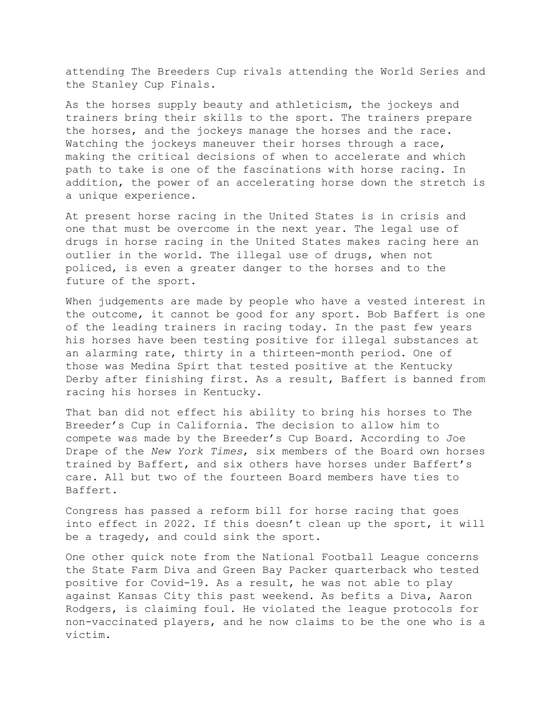attending The Breeders Cup rivals attending the World Series and the Stanley Cup Finals.

As the horses supply beauty and athleticism, the jockeys and trainers bring their skills to the sport. The trainers prepare the horses, and the jockeys manage the horses and the race. Watching the jockeys maneuver their horses through a race, making the critical decisions of when to accelerate and which path to take is one of the fascinations with horse racing. In addition, the power of an accelerating horse down the stretch is a unique experience.

At present horse racing in the United States is in crisis and one that must be overcome in the next year. The legal use of drugs in horse racing in the United States makes racing here an outlier in the world. The illegal use of drugs, when not policed, is even a greater danger to the horses and to the future of the sport.

When judgements are made by people who have a vested interest in the outcome, it cannot be good for any sport. Bob Baffert is one of the leading trainers in racing today. In the past few years his horses have been testing positive for illegal substances at an alarming rate, thirty in a thirteen-month period. One of those was Medina Spirt that tested positive at the Kentucky Derby after finishing first. As a result, Baffert is banned from racing his horses in Kentucky.

That ban did not effect his ability to bring his horses to The Breeder's Cup in California. The decision to allow him to compete was made by the Breeder's Cup Board. According to Joe Drape of the *New York Times*, six members of the Board own horses trained by Baffert, and six others have horses under Baffert's care. All but two of the fourteen Board members have ties to Baffert.

Congress has passed a reform bill for horse racing that goes into effect in 2022. If this doesn't clean up the sport, it will be a tragedy, and could sink the sport.

One other quick note from the National Football League concerns the State Farm Diva and Green Bay Packer quarterback who tested positive for Covid-19. As a result, he was not able to play against Kansas City this past weekend. As befits a Diva, Aaron Rodgers, is claiming foul. He violated the league protocols for non-vaccinated players, and he now claims to be the one who is a victim.